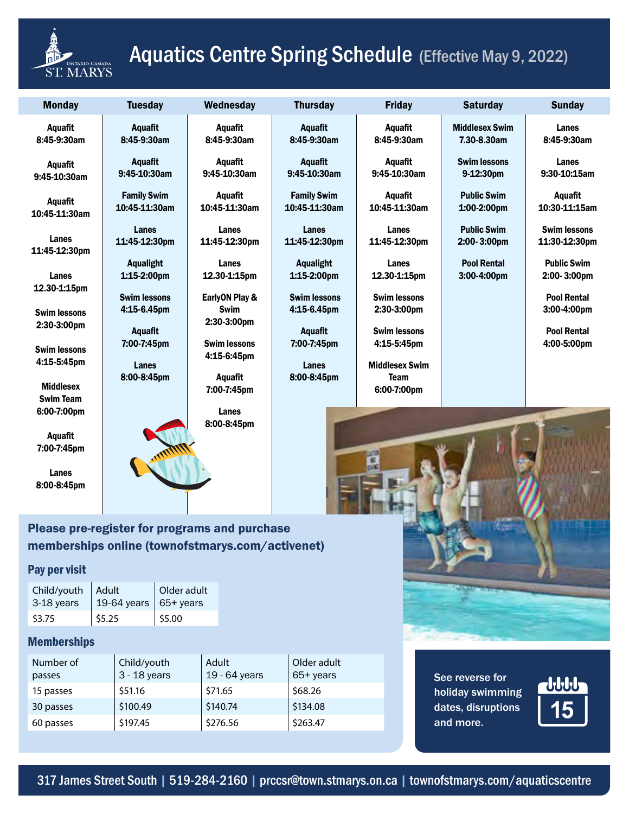

# **ACCENTRY Aquatics Centre Spring Schedule (Effective May 9, 2022)**

| <b>Monday</b>                        | <b>Tuesday</b>                      | Wednesday                          | <b>Thursday</b>                       | <b>Friday</b>                      | <b>Saturday</b>                      | <b>Sunday</b>                        |
|--------------------------------------|-------------------------------------|------------------------------------|---------------------------------------|------------------------------------|--------------------------------------|--------------------------------------|
| <b>Aquafit</b><br>8:45-9:30am        | Aquafit<br>8:45-9:30am              | <b>Aquafit</b><br>8:45-9:30am      | <b>Aquafit</b><br>8:45-9:30am         | <b>Aquafit</b><br>8:45-9:30am      | <b>Middlesex Swim</b><br>7.30-8.30am | Lanes<br>8:45-9:30am                 |
| <b>Aquafit</b><br>9:45-10:30am       | <b>Aquafit</b><br>9:45-10:30am      | Aquafit<br>9:45-10:30am            | Aquafit<br>9:45-10:30am               | <b>Aquafit</b><br>9:45-10:30am     | <b>Swim lessons</b><br>9-12:30pm     | Lanes<br>9:30-10:15am                |
| <b>Aquafit</b><br>10:45-11:30am      | <b>Family Swim</b><br>10:45-11:30am | <b>Aquafit</b><br>10:45-11:30am    | <b>Family Swim</b><br>10:45-11:30am   | <b>Aquafit</b><br>10:45-11:30am    | <b>Public Swim</b><br>$1:00-2:00$ pm | <b>Aquafit</b><br>10:30-11:15am      |
| Lanes<br>11:45-12:30pm               | Lanes<br>11:45-12:30pm              | Lanes<br>11:45-12:30pm             | Lanes<br>11:45-12:30pm                | Lanes<br>11:45-12:30pm             | <b>Public Swim</b><br>2:00-3:00pm    | <b>Swim lessons</b><br>11:30-12:30pm |
| Lanes                                | <b>Aqualight</b><br>1:15-2:00pm     | Lanes<br>12.30-1:15pm              | <b>Aqualight</b><br>1:15-2:00pm       | Lanes<br>12.30-1:15pm              | <b>Pool Rental</b><br>3:00-4:00pm    | <b>Public Swim</b><br>2:00-3:00pm    |
| 12.30-1:15pm<br><b>Swim lessons</b>  | <b>Swim lessons</b><br>4:15-6.45pm  | EarlyON Play &<br><b>Swim</b>      | <b>Swim lessons</b><br>$4:15-6.45$ pm | <b>Swim lessons</b><br>2:30-3:00pm |                                      | <b>Pool Rental</b><br>3:00-4:00pm    |
| 2:30-3:00pm                          | <b>Aquafit</b><br>7:00-7:45pm       | 2:30-3:00pm<br><b>Swim lessons</b> | <b>Aquafit</b><br>7:00-7:45pm         | <b>Swim lessons</b><br>4:15-5:45pm |                                      | <b>Pool Rental</b><br>4:00-5:00pm    |
| <b>Swim lessons</b><br>4:15-5:45pm   | <b>Lanes</b>                        | 4:15-6:45pm                        | <b>Lanes</b>                          | <b>Middlesex Swim</b>              |                                      |                                      |
| <b>Middlesex</b><br><b>Swim Team</b> | 8:00-8:45pm                         | Aquafit<br>7:00-7:45pm             | 8:00-8:45pm                           | <b>Team</b><br>6:00-7:00pm         |                                      |                                      |
| 6:00-7:00pm<br><b>Aquafit</b>        |                                     | Lanes<br>8:00-8:45pm               |                                       |                                    |                                      |                                      |
| 7:00-7:45pm                          |                                     |                                    |                                       |                                    |                                      |                                      |
| Lanes<br>8:00-8:45pm                 |                                     |                                    |                                       |                                    |                                      |                                      |

## Please pre-register for programs and purchase memberships online (townofstmarys.com/activenet)

### Pay per visit

| Child/youth   Adult |                                       | Older adult |
|---------------------|---------------------------------------|-------------|
| 3-18 years          | $\vert$ 19-64 years $\vert$ 65+ years |             |
| \$3.75              | $ $ \$5.25                            | \$5.00      |

### Memberships

| Number of<br>passes | Child/youth<br>$3 - 18$ years | Adult<br>19 - 64 years | Older adult<br>65+ years |
|---------------------|-------------------------------|------------------------|--------------------------|
| 15 passes           | \$51.16                       | \$71.65                | \$68.26                  |
| 30 passes           | \$100.49                      | \$140.74               | \$134.08                 |
| 60 passes           | \$197.45                      | \$276.56               | \$263.47                 |

See reverse for holiday swimming dates, disruptions and more.



317 James Street South | 519-284-2160 | prccsr@town.stmarys.on.ca | townofstmarys.com/aquaticscentre